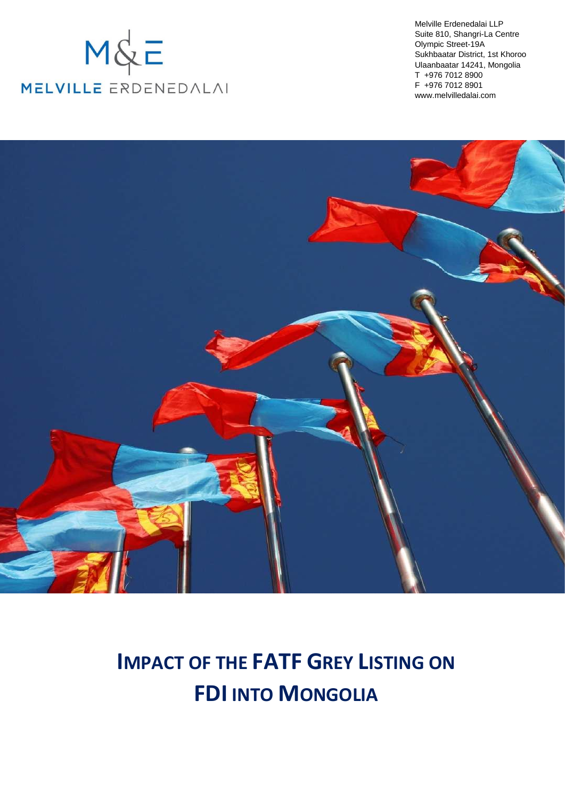# $M\&E$ MELVILLE ERDENEDALAI

Melville Erdenedalai LLP Suite 810, Shangri-La Centre Olympic Street-19A Sukhbaatar District, 1st Khoroo Ulaanbaatar 14241, Mongolia T +976 7012 8900 F +976 7012 8901 www.melvilledalai.com



# **IMPACT OF THE FATF GREY LISTING ON FDI INTO MONGOLIA**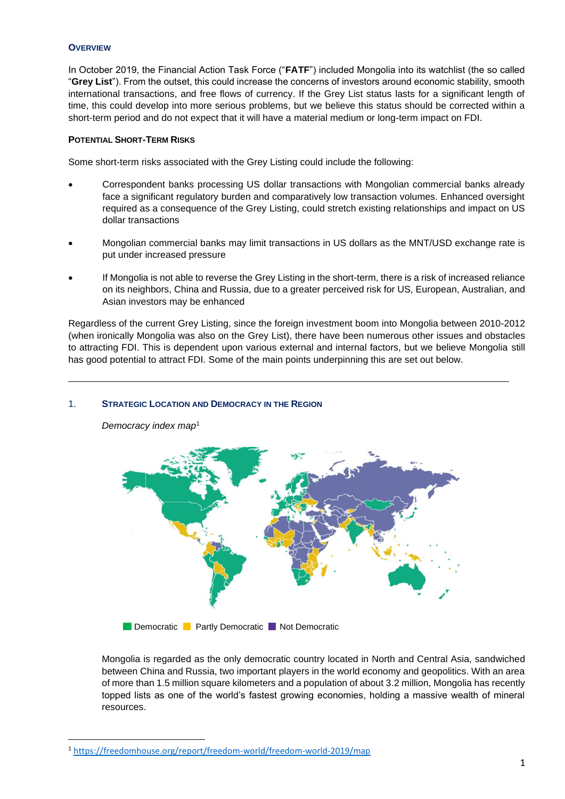#### **OVERVIEW**

In October 2019, the Financial Action Task Force ("**FATF**") included Mongolia into its watchlist (the so called "**Grey List**"). From the outset, this could increase the concerns of investors around economic stability, smooth international transactions, and free flows of currency. If the Grey List status lasts for a significant length of time, this could develop into more serious problems, but we believe this status should be corrected within a short-term period and do not expect that it will have a material medium or long-term impact on FDI.

### **POTENTIAL SHORT-TERM RISKS**

Some short-term risks associated with the Grey Listing could include the following:

- Correspondent banks processing US dollar transactions with Mongolian commercial banks already face a significant regulatory burden and comparatively low transaction volumes. Enhanced oversight required as a consequence of the Grey Listing, could stretch existing relationships and impact on US dollar transactions
- Mongolian commercial banks may limit transactions in US dollars as the MNT/USD exchange rate is put under increased pressure
- If Mongolia is not able to reverse the Grey Listing in the short-term, there is a risk of increased reliance on its neighbors, China and Russia, due to a greater perceived risk for US, European, Australian, and Asian investors may be enhanced

Regardless of the current Grey Listing, since the foreign investment boom into Mongolia between 2010-2012 (when ironically Mongolia was also on the Grey List), there have been numerous other issues and obstacles to attracting FDI. This is dependent upon various external and internal factors, but we believe Mongolia still has good potential to attract FDI. Some of the main points underpinning this are set out below.

#### 1. **STRATEGIC LOCATION AND DEMOCRACY IN THE REGION**

*Democracy index map*<sup>1</sup>



**EXP** Democratic **C** Partly Democratic **C** Not Democratic

Mongolia is regarded as the only democratic country located in North and Central Asia, sandwiched between China and Russia, two important players in the world economy and geopolitics. With an area of more than 1.5 million square kilometers and a population of about 3.2 million, Mongolia has recently topped lists as one of the world's fastest growing economies, holding a massive wealth of mineral resources.

<sup>1</sup> <https://freedomhouse.org/report/freedom-world/freedom-world-2019/map>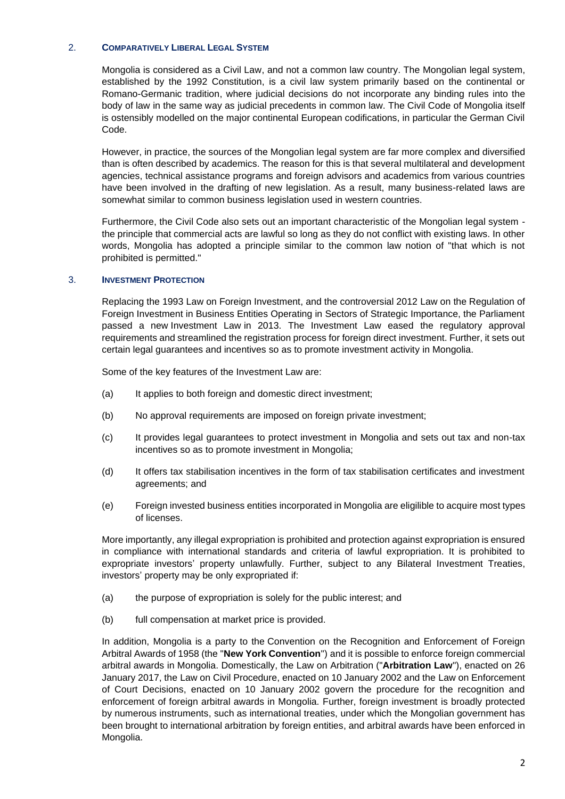### 2. **COMPARATIVELY LIBERAL LEGAL SYSTEM**

Mongolia is considered as a Civil Law, and not a common law country. The Mongolian legal system, established by the 1992 Constitution, is a civil law system primarily based on the continental or Romano-Germanic tradition, where judicial decisions do not incorporate any binding rules into the body of law in the same way as judicial precedents in common law. The Civil Code of Mongolia itself is ostensibly modelled on the major continental European codifications, in particular the German Civil Code.

However, in practice, the sources of the Mongolian legal system are far more complex and diversified than is often described by academics. The reason for this is that several multilateral and development agencies, technical assistance programs and foreign advisors and academics from various countries have been involved in the drafting of new legislation. As a result, many business-related laws are somewhat similar to common business legislation used in western countries.

Furthermore, the Civil Code also sets out an important characteristic of the Mongolian legal system the principle that commercial acts are lawful so long as they do not conflict with existing laws. In other words, Mongolia has adopted a principle similar to the common law notion of "that which is not prohibited is permitted."

### 3. **INVESTMENT PROTECTION**

Replacing the 1993 Law on Foreign Investment, and the controversial 2012 Law on the Regulation of Foreign Investment in Business Entities Operating in Sectors of Strategic Importance, the Parliament passed a new Investment Law in 2013. The Investment Law eased the regulatory approval requirements and streamlined the registration process for foreign direct investment. Further, it sets out certain legal guarantees and incentives so as to promote investment activity in Mongolia.

Some of the key features of the Investment Law are:

- (a) It applies to both foreign and domestic direct investment;
- (b) No approval requirements are imposed on foreign private investment;
- (c) It provides legal guarantees to protect investment in Mongolia and sets out tax and non-tax incentives so as to promote investment in Mongolia;
- (d) It offers tax stabilisation incentives in the form of tax stabilisation certificates and investment agreements; and
- (e) Foreign invested business entities incorporated in Mongolia are eligilible to acquire most types of licenses.

More importantly, any illegal expropriation is prohibited and protection against expropriation is ensured in compliance with international standards and criteria of lawful expropriation. It is prohibited to expropriate investors' property unlawfully. Further, subject to any Bilateral Investment Treaties, investors' property may be only expropriated if:

- (a) the purpose of expropriation is solely for the public interest; and
- (b) full compensation at market price is provided.

In addition, Mongolia is a party to the Convention on the Recognition and Enforcement of Foreign Arbitral Awards of 1958 (the "**New York Convention**") and it is possible to enforce foreign commercial arbitral awards in Mongolia. Domestically, the Law on Arbitration ("**Arbitration Law**"), enacted on 26 January 2017, the Law on Civil Procedure, enacted on 10 January 2002 and the Law on Enforcement of Court Decisions, enacted on 10 January 2002 govern the procedure for the recognition and enforcement of foreign arbitral awards in Mongolia. Further, foreign investment is broadly protected by numerous instruments, such as international treaties, under which the Mongolian government has been brought to international arbitration by foreign entities, and arbitral awards have been enforced in Mongolia.